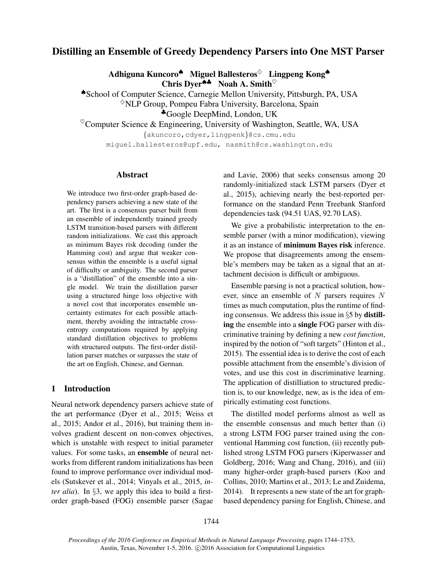# Distilling an Ensemble of Greedy Dependency Parsers into One MST Parser

Adhiguna Kuncoro<sup>◆</sup> Miguel Ballesteros<sup>◇</sup> Lingpeng Kong◆ Chris Dyer<sup>44</sup> Noah A. Smith<sup> $\heartsuit$ </sup>

♠School of Computer Science, Carnegie Mellon University, Pittsburgh, PA, USA  $\Diamond$ NLP Group, Pompeu Fabra University, Barcelona, Spain ♣Google DeepMind, London, UK

 $\textdegree$ Computer Science & Engineering, University of Washington, Seattle, WA, USA

{akuncoro,cdyer,lingpenk}@cs.cmu.edu miguel.ballesteros@upf.edu, nasmith@cs.washington.edu

#### Abstract

We introduce two first-order graph-based dependency parsers achieving a new state of the art. The first is a consensus parser built from an ensemble of independently trained greedy LSTM transition-based parsers with different random initializations. We cast this approach as minimum Bayes risk decoding (under the Hamming cost) and argue that weaker consensus within the ensemble is a useful signal of difficulty or ambiguity. The second parser is a "distillation" of the ensemble into a single model. We train the distillation parser using a structured hinge loss objective with a novel cost that incorporates ensemble uncertainty estimates for each possible attachment, thereby avoiding the intractable crossentropy computations required by applying standard distillation objectives to problems with structured outputs. The first-order distillation parser matches or surpasses the state of the art on English, Chinese, and German.

# 1 Introduction

Neural network dependency parsers achieve state of the art performance (Dyer et al., 2015; Weiss et al., 2015; Andor et al., 2016), but training them involves gradient descent on non-convex objectives, which is unstable with respect to initial parameter values. For some tasks, an ensemble of neural networks from different random initializations has been found to improve performance over individual models (Sutskever et al., 2014; Vinyals et al., 2015, *inter alia*). In §3, we apply this idea to build a firstorder graph-based (FOG) ensemble parser (Sagae and Lavie, 2006) that seeks consensus among 20 randomly-initialized stack LSTM parsers (Dyer et al., 2015), achieving nearly the best-reported performance on the standard Penn Treebank Stanford dependencies task (94.51 UAS, 92.70 LAS).

We give a probabilistic interpretation to the ensemble parser (with a minor modification), viewing it as an instance of minimum Bayes risk inference. We propose that disagreements among the ensemble's members may be taken as a signal that an attachment decision is difficult or ambiguous.

Ensemble parsing is not a practical solution, however, since an ensemble of N parsers requires N times as much computation, plus the runtime of finding consensus. We address this issue in §5 by distilling the ensemble into a single FOG parser with discriminative training by defining a new *cost function*, inspired by the notion of "soft targets" (Hinton et al., 2015). The essential idea is to derive the cost of each possible attachment from the ensemble's division of votes, and use this cost in discriminative learning. The application of distilliation to structured prediction is, to our knowledge, new, as is the idea of empirically estimating cost functions.

The distilled model performs almost as well as the ensemble consensus and much better than (i) a strong LSTM FOG parser trained using the conventional Hamming cost function, (ii) recently published strong LSTM FOG parsers (Kiperwasser and Goldberg, 2016; Wang and Chang, 2016), and (iii) many higher-order graph-based parsers (Koo and Collins, 2010; Martins et al., 2013; Le and Zuidema, 2014). It represents a new state of the art for graphbased dependency parsing for English, Chinese, and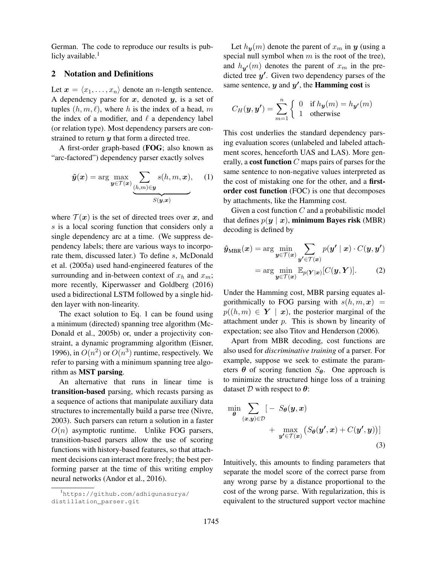German. The code to reproduce our results is publicly available. $<sup>1</sup>$ </sup>

#### 2 Notation and Definitions

Let  $\mathbf{x} = \langle x_1, \ldots, x_n \rangle$  denote an *n*-length sentence. A dependency parse for  $x$ , denoted  $y$ , is a set of tuples  $(h, m, \ell)$ , where h is the index of a head, m the index of a modifier, and  $\ell$  a dependency label (or relation type). Most dependency parsers are constrained to return  $y$  that form a directed tree.

A first-order graph-based (FOG; also known as "arc-factored") dependency parser exactly solves

$$
\hat{\boldsymbol{y}}(\boldsymbol{x}) = \arg \max_{\boldsymbol{y} \in \mathcal{T}(\boldsymbol{x})} \underbrace{\sum_{(h,m) \in \boldsymbol{y}} s(h, m, \boldsymbol{x})}_{S(\boldsymbol{y}, \boldsymbol{x})}, \quad (1)
$$

where  $\mathcal{T}(\boldsymbol{x})$  is the set of directed trees over  $\boldsymbol{x}$ , and s is a local scoring function that considers only a single dependency arc at a time. (We suppress dependency labels; there are various ways to incorporate them, discussed later.) To define s, McDonald et al. (2005a) used hand-engineered features of the surrounding and in-between context of  $x_h$  and  $x_m$ ; more recently, Kiperwasser and Goldberg (2016) used a bidirectional LSTM followed by a single hidden layer with non-linearity.

The exact solution to Eq. 1 can be found using a minimum (directed) spanning tree algorithm (Mc-Donald et al., 2005b) or, under a projectivity constraint, a dynamic programming algorithm (Eisner, 1996), in  $O(n^2)$  or  $O(n^3)$  runtime, respectively. We refer to parsing with a minimum spanning tree algorithm as MST parsing.

An alternative that runs in linear time is transition-based parsing, which recasts parsing as a sequence of actions that manipulate auxiliary data structures to incrementally build a parse tree (Nivre, 2003). Such parsers can return a solution in a faster  $O(n)$  asymptotic runtime. Unlike FOG parsers, transition-based parsers allow the use of scoring functions with history-based features, so that attachment decisions can interact more freely; the best performing parser at the time of this writing employ neural networks (Andor et al., 2016).

Let  $h_{y}(m)$  denote the parent of  $x_m$  in y (using a special null symbol when  $m$  is the root of the tree), and  $h_{y'}(m)$  denotes the parent of  $x_m$  in the predicted tree  $y'$ . Given two dependency parses of the same sentence,  $y$  and  $y'$ , the **Hamming cost** is

$$
C_H(\mathbf{y}, \mathbf{y'}) = \sum_{m=1}^n \begin{cases} 0 & \text{if } h_{\mathbf{y}}(m) = h_{\mathbf{y'}}(m) \\ 1 & \text{otherwise} \end{cases}
$$

This cost underlies the standard dependency parsing evaluation scores (unlabeled and labeled attachment scores, henceforth UAS and LAS). More generally, a cost function  $C$  maps pairs of parses for the same sentence to non-negative values interpreted as the cost of mistaking one for the other, and a firstorder cost function (FOC) is one that decomposes by attachments, like the Hamming cost.

Given a cost function  $C$  and a probabilistic model that defines  $p(y | x)$ , minimum Bayes risk (MBR) decoding is defined by

$$
\hat{\mathbf{y}}_{\text{MBR}}(\mathbf{x}) = \arg \min_{\mathbf{y} \in \mathcal{T}(\mathbf{x})} \sum_{\mathbf{y}' \in \mathcal{T}(\mathbf{x})} p(\mathbf{y}' \mid \mathbf{x}) \cdot C(\mathbf{y}, \mathbf{y}') = \arg \min_{\mathbf{y} \in \mathcal{T}(\mathbf{x})} \mathbb{E}_{p(\mathbf{Y}|\mathbf{x})} [C(\mathbf{y}, \mathbf{Y})].
$$
\n(2)

Under the Hamming cost, MBR parsing equates algorithmically to FOG parsing with  $s(h, m, x)$  =  $p((h, m) \in Y \mid x)$ , the posterior marginal of the attachment under  $p$ . This is shown by linearity of expectation; see also Titov and Henderson (2006).

Apart from MBR decoding, cost functions are also used for *discriminative training* of a parser. For example, suppose we seek to estimate the parameters  $\theta$  of scoring function  $S_{\theta}$ . One approach is to minimize the structured hinge loss of a training dataset  $D$  with respect to  $\theta$ :

$$
\min_{\theta} \sum_{(\boldsymbol{x}, \boldsymbol{y}) \in \mathcal{D}} [-S_{\theta}(\boldsymbol{y}, \boldsymbol{x}) + \max_{\boldsymbol{y}' \in \mathcal{T}(\boldsymbol{x})} (S_{\theta}(\boldsymbol{y}', \boldsymbol{x}) + C(\boldsymbol{y}', \boldsymbol{y}))]
$$
\n(3)

Intuitively, this amounts to finding parameters that separate the model score of the correct parse from any wrong parse by a distance proportional to the cost of the wrong parse. With regularization, this is equivalent to the structured support vector machine

<sup>1</sup>https://github.com/adhigunasurya/ distillation\_parser.git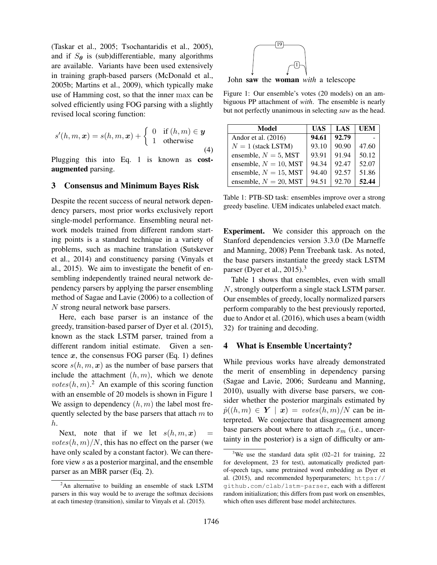(Taskar et al., 2005; Tsochantaridis et al., 2005), and if  $S_{\theta}$  is (sub)differentiable, many algorithms are available. Variants have been used extensively in training graph-based parsers (McDonald et al., 2005b; Martins et al., 2009), which typically make use of Hamming cost, so that the inner max can be solved efficiently using FOG parsing with a slightly revised local scoring function:

$$
s'(h, m, \mathbf{x}) = s(h, m, \mathbf{x}) + \begin{cases} 0 & \text{if } (h, m) \in \mathbf{y} \\ 1 & \text{otherwise} \end{cases}
$$
(4)

Plugging this into Eq. 1 is known as costaugmented parsing.

### 3 Consensus and Minimum Bayes Risk

Despite the recent success of neural network dependency parsers, most prior works exclusively report single-model performance. Ensembling neural network models trained from different random starting points is a standard technique in a variety of problems, such as machine translation (Sutskever et al., 2014) and constituency parsing (Vinyals et al., 2015). We aim to investigate the benefit of ensembling independently trained neural network dependency parsers by applying the parser ensembling method of Sagae and Lavie (2006) to a collection of N strong neural network base parsers.

Here, each base parser is an instance of the greedy, transition-based parser of Dyer et al. (2015), known as the stack LSTM parser, trained from a different random initial estimate. Given a sentence  $x$ , the consensus FOG parser (Eq. 1) defines score  $s(h, m, x)$  as the number of base parsers that include the attachment  $(h, m)$ , which we denote votes $(h, m)$ .<sup>2</sup> An example of this scoring function with an ensemble of 20 models is shown in Figure 1 We assign to dependency  $(h, m)$  the label most frequently selected by the base parsers that attach  $m$  to h.

Next, note that if we let  $s(h, m, x)$  $votes(h, m)/N$ , this has no effect on the parser (we have only scaled by a constant factor). We can therefore view s as a posterior marginal, and the ensemble parser as an MBR parser (Eq. 2).



John saw the woman *with* a telescope

Figure 1: Our ensemble's votes (20 models) on an ambiguous PP attachment of *with*. The ensemble is nearly but not perfectly unanimous in selecting *saw* as the head.

| Model                    | UAS   | LAS   | UEM   |
|--------------------------|-------|-------|-------|
| Andor et al. $(2016)$    | 94.61 | 92.79 |       |
| $N = 1$ (stack LSTM)     | 93.10 | 90.90 | 47.60 |
| ensemble, $N = 5$ , MST  | 93.91 | 91.94 | 50.12 |
| ensemble, $N = 10$ , MST | 94.34 | 92.47 | 52.07 |
| ensemble, $N = 15$ , MST | 94.40 | 92.57 | 51.86 |
| ensemble, $N = 20$ , MST | 94.51 | 92.70 | 52.44 |

Table 1: PTB-SD task: ensembles improve over a strong greedy baseline. UEM indicates unlabeled exact match.

Experiment. We consider this approach on the Stanford dependencies version 3.3.0 (De Marneffe and Manning, 2008) Penn Treebank task. As noted, the base parsers instantiate the greedy stack LSTM parser (Dyer et al., 2015).<sup>3</sup>

Table 1 shows that ensembles, even with small N, strongly outperform a single stack LSTM parser. Our ensembles of greedy, locally normalized parsers perform comparably to the best previously reported, due to Andor et al. (2016), which uses a beam (width 32) for training and decoding.

#### 4 What is Ensemble Uncertainty?

While previous works have already demonstrated the merit of ensembling in dependency parsing (Sagae and Lavie, 2006; Surdeanu and Manning, 2010), usually with diverse base parsers, we consider whether the posterior marginals estimated by  $\hat{p}((h,m) \in Y \mid x) = \text{votes}(h,m)/N \text{ can be in-}$ terpreted. We conjecture that disagreement among base parsers about where to attach  $x_m$  (i.e., uncertainty in the posterior) is a sign of difficulty or am-

<sup>&</sup>lt;sup>2</sup>An alternative to building an ensemble of stack LSTM parsers in this way would be to average the softmax decisions at each timestep (transition), similar to Vinyals et al. (2015).

<sup>&</sup>lt;sup>3</sup>We use the standard data split  $(02-21)$  for training, 22 for development, 23 for test), automatically predicted partof-speech tags, same pretrained word embedding as Dyer et al. (2015), and recommended hyperparameters; https:// github.com/clab/lstm-parser, each with a different random initialization; this differs from past work on ensembles, which often uses different base model architectures.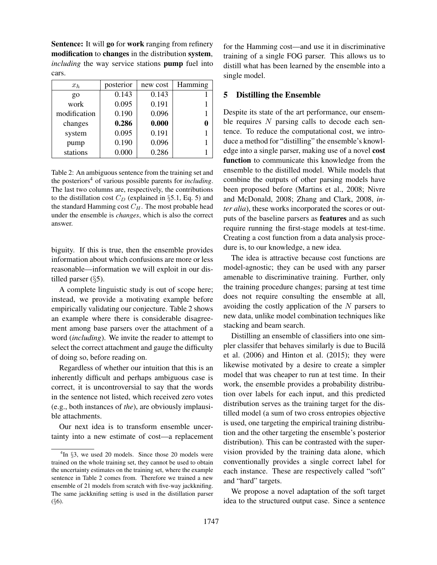Sentence: It will go for work ranging from refinery modification to changes in the distribution system, *including* the way service stations **pump** fuel into cars.

| $x_h$           | posterior | new cost | Hamming |
|-----------------|-----------|----------|---------|
| $\overline{Q}O$ | 0.143     | 0.143    |         |
| work            | 0.095     | 0.191    |         |
| modification    | 0.190     | 0.096    |         |
| changes         | 0.286     | 0.000    |         |
| system          | 0.095     | 0.191    |         |
| pump            | 0.190     | 0.096    |         |
| stations        | 0.000     | 0.286    |         |

Table 2: An ambiguous sentence from the training set and the posteriors<sup>4</sup> of various possible parents for *including*. The last two columns are, respectively, the contributions to the distillation cost  $C_D$  (explained in §5.1, Eq. 5) and the standard Hamming cost  $C_H$ . The most probable head under the ensemble is *changes*, which is also the correct answer.

biguity. If this is true, then the ensemble provides information about which confusions are more or less reasonable—information we will exploit in our distilled parser (§5).

A complete linguistic study is out of scope here; instead, we provide a motivating example before empirically validating our conjecture. Table 2 shows an example where there is considerable disagreement among base parsers over the attachment of a word (*including*). We invite the reader to attempt to select the correct attachment and gauge the difficulty of doing so, before reading on.

Regardless of whether our intuition that this is an inherently difficult and perhaps ambiguous case is correct, it is uncontroversial to say that the words in the sentence not listed, which received zero votes (e.g., both instances of *the*), are obviously implausible attachments.

Our next idea is to transform ensemble uncertainty into a new estimate of cost—a replacement for the Hamming cost—and use it in discriminative training of a single FOG parser. This allows us to distill what has been learned by the ensemble into a single model.

## 5 Distilling the Ensemble

Despite its state of the art performance, our ensemble requires  $N$  parsing calls to decode each sentence. To reduce the computational cost, we introduce a method for "distilling" the ensemble's knowledge into a single parser, making use of a novel cost function to communicate this knowledge from the ensemble to the distilled model. While models that combine the outputs of other parsing models have been proposed before (Martins et al., 2008; Nivre and McDonald, 2008; Zhang and Clark, 2008, *inter alia*), these works incorporated the scores or outputs of the baseline parsers as features and as such require running the first-stage models at test-time. Creating a cost function from a data analysis procedure is, to our knowledge, a new idea.

The idea is attractive because cost functions are model-agnostic; they can be used with any parser amenable to discriminative training. Further, only the training procedure changes; parsing at test time does not require consulting the ensemble at all, avoiding the costly application of the  $N$  parsers to new data, unlike model combination techniques like stacking and beam search.

Distilling an ensemble of classifiers into one simpler classifer that behaves similarly is due to Bucilă et al. (2006) and Hinton et al. (2015); they were likewise motivated by a desire to create a simpler model that was cheaper to run at test time. In their work, the ensemble provides a probability distribution over labels for each input, and this predicted distribution serves as the training target for the distilled model (a sum of two cross entropies objective is used, one targeting the empirical training distribution and the other targeting the ensemble's posterior distribution). This can be contrasted with the supervision provided by the training data alone, which conventionally provides a single correct label for each instance. These are respectively called "soft" and "hard" targets.

We propose a novel adaptation of the soft target idea to the structured output case. Since a sentence

 ${}^{4}$ In  $\S$ 3, we used 20 models. Since those 20 models were trained on the whole training set, they cannot be used to obtain the uncertainty estimates on the training set, where the example sentence in Table 2 comes from. Therefore we trained a new ensemble of 21 models from scratch with five-way jackknifing. The same jackknifing setting is used in the distillation parser (§6).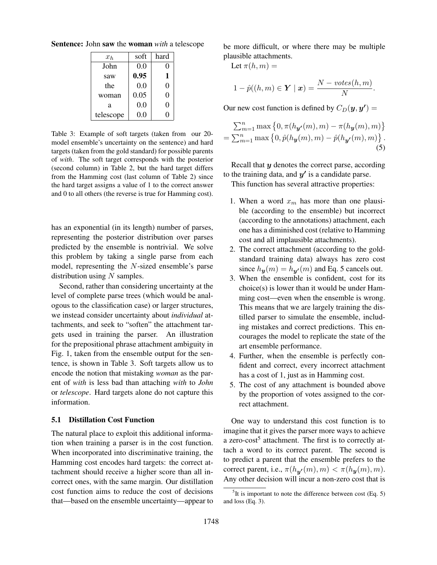Sentence: John saw the woman *with* a telescope

| $x_h$     | soft    | hard |
|-----------|---------|------|
| John      | 0.0     | 0    |
| saw       | 0.95    | 1    |
| the       | 0.0     | 0    |
| woman     | 0.05    | 0    |
| a         | 0.0     | 0    |
| telescope | $0.0\,$ | J    |

Table 3: Example of soft targets (taken from our 20 model ensemble's uncertainty on the sentence) and hard targets (taken from the gold standard) for possible parents of *with*. The soft target corresponds with the posterior (second column) in Table 2, but the hard target differs from the Hamming cost (last column of Table 2) since the hard target assigns a value of 1 to the correct answer and 0 to all others (the reverse is true for Hamming cost).

has an exponential (in its length) number of parses, representing the posterior distribution over parses predicted by the ensemble is nontrivial. We solve this problem by taking a single parse from each model, representing the N-sized ensemble's parse distribution using  $N$  samples.

Second, rather than considering uncertainty at the level of complete parse trees (which would be analogous to the classification case) or larger structures, we instead consider uncertainty about *individual* attachments, and seek to "soften" the attachment targets used in training the parser. An illustration for the prepositional phrase attachment ambiguity in Fig. 1, taken from the ensemble output for the sentence, is shown in Table 3. Soft targets allow us to encode the notion that mistaking *woman* as the parent of *with* is less bad than attaching *with* to *John* or *telescope*. Hard targets alone do not capture this information.

#### 5.1 Distillation Cost Function

The natural place to exploit this additional information when training a parser is in the cost function. When incorporated into discriminative training, the Hamming cost encodes hard targets: the correct attachment should receive a higher score than all incorrect ones, with the same margin. Our distillation cost function aims to reduce the cost of decisions that—based on the ensemble uncertainty—appear to be more difficult, or where there may be multiple plausible attachments.

$$
Let \pi(h, m) =
$$

$$
1 - \hat{p}((h,m) \in \mathbf{Y} \mid \mathbf{x}) = \frac{N - \text{votes}(h,m)}{N}.
$$

Our new cost function is defined by  $C_D(\bm{y}, \bm{y'}) =$ 

$$
\sum_{m=1}^{n} \max \left\{ 0, \pi(h_{\mathbf{y'}}(m), m) - \pi(h_{\mathbf{y}}(m), m) \right\} = \sum_{m=1}^{n} \max \left\{ 0, \hat{p}(h_{\mathbf{y}}(m), m) - \hat{p}(h_{\mathbf{y'}}(m), m) \right\}.
$$
(5)

Recall that  $y$  denotes the correct parse, according to the training data, and  $y'$  is a candidate parse.

This function has several attractive properties:

- 1. When a word  $x_m$  has more than one plausible (according to the ensemble) but incorrect (according to the annotations) attachment, each one has a diminished cost (relative to Hamming cost and all implausible attachments).
- 2. The correct attachment (according to the goldstandard training data) always has zero cost since  $h_{\mathbf{y}}(m) = h_{\mathbf{y'}}(m)$  and Eq. 5 cancels out.
- 3. When the ensemble is confident, cost for its choice(s) is lower than it would be under Hamming cost—even when the ensemble is wrong. This means that we are largely training the distilled parser to simulate the ensemble, including mistakes and correct predictions. This encourages the model to replicate the state of the art ensemble performance.
- 4. Further, when the ensemble is perfectly confident and correct, every incorrect attachment has a cost of 1, just as in Hamming cost.
- 5. The cost of any attachment is bounded above by the proportion of votes assigned to the correct attachment.

One way to understand this cost function is to imagine that it gives the parser more ways to achieve a zero-cost<sup>5</sup> attachment. The first is to correctly attach a word to its correct parent. The second is to predict a parent that the ensemble prefers to the correct parent, i.e.,  $\pi(h_{\mathbf{y'}}(m), m) < \pi(h_{\mathbf{y}}(m), m)$ . Any other decision will incur a non-zero cost that is

 $5$ It is important to note the difference between cost (Eq. 5) and loss (Eq. 3).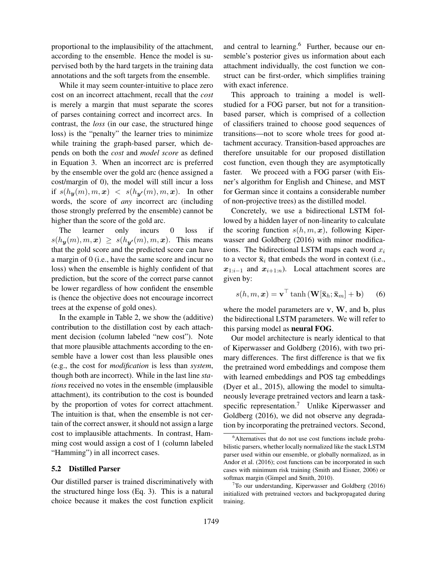proportional to the implausibility of the attachment, according to the ensemble. Hence the model is supervised both by the hard targets in the training data annotations and the soft targets from the ensemble.

While it may seem counter-intuitive to place zero cost on an incorrect attachment, recall that the *cost* is merely a margin that must separate the scores of parses containing correct and incorrect arcs. In contrast, the *loss* (in our case, the structured hinge loss) is the "penalty" the learner tries to minimize while training the graph-based parser, which depends on both the *cost* and *model score* as defined in Equation 3. When an incorrect arc is preferred by the ensemble over the gold arc (hence assigned a cost/margin of 0), the model will still incur a loss if  $s(h_{\boldsymbol{y}}(m), m, \boldsymbol{x}) \ < \ s(h_{\boldsymbol{y'}}(m), m, \boldsymbol{x})$ . In other words, the score of *any* incorrect arc (including those strongly preferred by the ensemble) cannot be higher than the score of the gold arc.

The learner only incurs 0 loss if  $s(h_{\mathbf{y}}(m), m, \mathbf{x}) \geq s(h_{\mathbf{y'}}(m), m, \mathbf{x})$ . This means that the gold score and the predicted score can have a margin of 0 (i.e., have the same score and incur no loss) when the ensemble is highly confident of that prediction, but the score of the correct parse cannot be lower regardless of how confident the ensemble is (hence the objective does not encourage incorrect trees at the expense of gold ones).

In the example in Table 2, we show the (additive) contribution to the distillation cost by each attachment decision (column labeled "new cost"). Note that more plausible attachments according to the ensemble have a lower cost than less plausible ones (e.g., the cost for *modification* is less than *system*, though both are incorrect). While in the last line *stations* received no votes in the ensemble (implausible attachment), its contribution to the cost is bounded by the proportion of votes for correct attachment. The intuition is that, when the ensemble is not certain of the correct answer, it should not assign a large cost to implausible attachments. In contrast, Hamming cost would assign a cost of 1 (column labeled "Hamming") in all incorrect cases.

#### 5.2 Distilled Parser

Our distilled parser is trained discriminatively with the structured hinge loss (Eq. 3). This is a natural choice because it makes the cost function explicit and central to learning.<sup>6</sup> Further, because our ensemble's posterior gives us information about each attachment individually, the cost function we construct can be first-order, which simplifies training with exact inference.

This approach to training a model is wellstudied for a FOG parser, but not for a transitionbased parser, which is comprised of a collection of classifiers trained to choose good sequences of transitions—not to score whole trees for good attachment accuracy. Transition-based approaches are therefore unsuitable for our proposed distillation cost function, even though they are asymptotically faster. We proceed with a FOG parser (with Eisner's algorithm for English and Chinese, and MST for German since it contains a considerable number of non-projective trees) as the distilled model.

Concretely, we use a bidirectional LSTM followed by a hidden layer of non-linearity to calculate the scoring function  $s(h, m, x)$ , following Kiperwasser and Goldberg (2016) with minor modifications. The bidirectional LSTM maps each word  $x_i$ to a vector  $\bar{\mathbf{x}}_i$  that embeds the word in context (i.e.,  $x_{1:i-1}$  and  $x_{i+1:n}$ ). Local attachment scores are given by:

$$
s(h, m, \boldsymbol{x}) = \mathbf{v}^{\top} \tanh\left(\mathbf{W}[\bar{\mathbf{x}}_h; \bar{\mathbf{x}}_m] + \mathbf{b}\right) \tag{6}
$$

where the model parameters are  $v$ ,  $W$ , and  $b$ , plus the bidirectional LSTM parameters. We will refer to this parsing model as neural FOG.

Our model architecture is nearly identical to that of Kiperwasser and Goldberg (2016), with two primary differences. The first difference is that we fix the pretrained word embeddings and compose them with learned embeddings and POS tag embeddings (Dyer et al., 2015), allowing the model to simultaneously leverage pretrained vectors and learn a taskspecific representation.<sup>7</sup> Unlike Kiperwasser and Goldberg (2016), we did not observe any degradation by incorporating the pretrained vectors. Second,

<sup>&</sup>lt;sup>6</sup>Alternatives that do not use cost functions include probabilistic parsers, whether locally normalized like the stack LSTM parser used within our ensemble, or globally normalized, as in Andor et al. (2016); cost functions can be incorporated in such cases with minimum risk training (Smith and Eisner, 2006) or softmax margin (Gimpel and Smith, 2010).

 $7$ To our understanding, Kiperwasser and Goldberg (2016) initialized with pretrained vectors and backpropagated during training.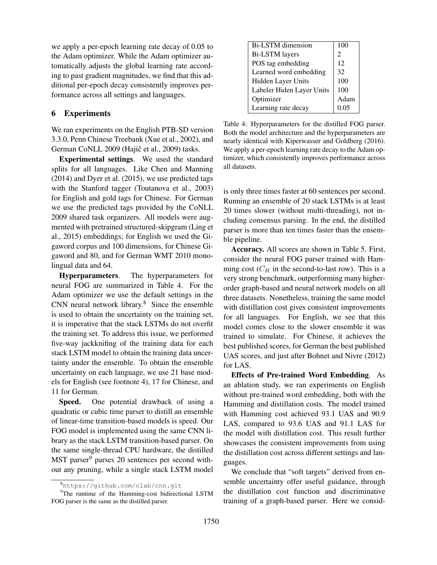we apply a per-epoch learning rate decay of 0.05 to the Adam optimizer. While the Adam optimizer automatically adjusts the global learning rate according to past gradient magnitudes, we find that this additional per-epoch decay consistently improves performance across all settings and languages.

## 6 Experiments

We ran experiments on the English PTB-SD version 3.3.0, Penn Chinese Treebank (Xue et al., 2002), and German CoNLL 2009 (Hajič et al., 2009) tasks.

Experimental settings. We used the standard splits for all languages. Like Chen and Manning (2014) and Dyer et al. (2015), we use predicted tags with the Stanford tagger (Toutanova et al., 2003) for English and gold tags for Chinese. For German we use the predicted tags provided by the CoNLL 2009 shared task organizers. All models were augmented with pretrained structured-skipgram (Ling et al., 2015) embeddings; for English we used the Gigaword corpus and 100 dimensions, for Chinese Gigaword and 80, and for German WMT 2010 monolingual data and 64.

Hyperparameters. The hyperparameters for neural FOG are summarized in Table 4. For the Adam optimizer we use the default settings in the CNN neural network library.<sup>8</sup> Since the ensemble is used to obtain the uncertainty on the training set, it is imperative that the stack LSTMs do not overfit the training set. To address this issue, we performed five-way jackknifing of the training data for each stack LSTM model to obtain the training data uncertainty under the ensemble. To obtain the ensemble uncertainty on each language, we use 21 base models for English (see footnote 4), 17 for Chinese, and 11 for German.

Speed. One potential drawback of using a quadratic or cubic time parser to distill an ensemble of linear-time transition-based models is speed. Our FOG model is implemented using the same CNN library as the stack LSTM transition-based parser. On the same single-thread CPU hardware, the distilled MST parser<sup>9</sup> parses 20 sentences per second without any pruning, while a single stack LSTM model

| <b>Bi-LSTM</b> dimension  | 100                         |  |
|---------------------------|-----------------------------|--|
| <b>Bi-LSTM</b> layers     | $\mathcal{D}_{\mathcal{L}}$ |  |
| POS tag embedding         | 12                          |  |
| Learned word embedding    | 32                          |  |
| Hidden Layer Units        | 100                         |  |
| Labeler Hiden Layer Units | 100                         |  |
| Optimizer                 | Adam                        |  |
| Learning rate decay       | 0.05                        |  |

Table 4: Hyperparameters for the distilled FOG parser. Both the model architecture and the hyperparameters are nearly identical with Kiperwasser and Goldberg (2016). We apply a per-epoch learning rate decay to the Adam optimizer, which consistently improves performance across all datasets.

is only three times faster at 60 sentences per second. Running an ensemble of 20 stack LSTMs is at least 20 times slower (without multi-threading), not including consensus parsing. In the end, the distilled parser is more than ten times faster than the ensemble pipeline.

Accuracy. All scores are shown in Table 5. First, consider the neural FOG parser trained with Hamming cost  $(C_H$  in the second-to-last row). This is a very strong benchmark, outperforming many higherorder graph-based and neural network models on all three datasets. Nonetheless, training the same model with distillation cost gives consistent improvements for all languages. For English, we see that this model comes close to the slower ensemble it was trained to simulate. For Chinese, it achieves the best published scores, for German the best published UAS scores, and just after Bohnet and Nivre (2012) for LAS.

Effects of Pre-trained Word Embedding. As an ablation study, we ran experiments on English without pre-trained word embedding, both with the Hamming and distillation costs. The model trained with Hamming cost achieved 93.1 UAS and 90.9 LAS, compared to 93.6 UAS and 91.1 LAS for the model with distillation cost. This result further showcases the consistent improvements from using the distillation cost across different settings and languages.

We conclude that "soft targets" derived from ensemble uncertainty offer useful guidance, through the distillation cost function and discriminative training of a graph-based parser. Here we consid-

<sup>8</sup>https://github.com/clab/cnn.git

<sup>&</sup>lt;sup>9</sup>The runtime of the Hamming-cost bidirectional LSTM FOG parser is the same as the distilled parser.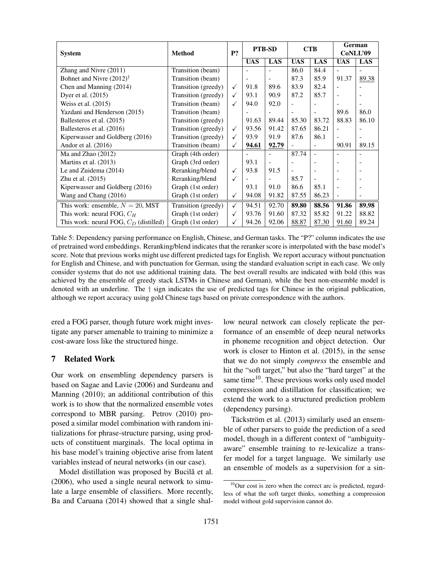| <b>System</b>                            | <b>Method</b>       | P?           | <b>PTB-SD</b>            |                          | <b>CTB</b>     |                          | German                   |       |
|------------------------------------------|---------------------|--------------|--------------------------|--------------------------|----------------|--------------------------|--------------------------|-------|
|                                          |                     |              |                          |                          |                |                          | CoNLL'09                 |       |
|                                          |                     |              | <b>UAS</b>               | LAS                      | <b>UAS</b>     | LAS                      | <b>UAS</b>               | LAS   |
| Zhang and Nivre (2011)                   | Transition (beam)   |              |                          |                          | 86.0           | 84.4                     | $\overline{a}$           |       |
| Bohnet and Nivre $(2012)^{\dagger}$      | Transition (beam)   |              | $\overline{\phantom{a}}$ | $\overline{\phantom{a}}$ | 87.3           | 85.9                     | 91.37                    | 89.38 |
| Chen and Manning (2014)                  | Transition (greedy) | ✓            | 91.8                     | 89.6                     | 83.9           | 82.4                     | $\overline{a}$           |       |
| Dyer et al. (2015)                       | Transition (greedy) | $\checkmark$ | 93.1                     | 90.9                     | 87.2           | 85.7                     | $\overline{\phantom{a}}$ |       |
| Weiss et al. (2015)                      | Transition (beam)   | ✓            | 94.0                     | 92.0                     |                | ٠                        | $\overline{\phantom{a}}$ |       |
| Yazdani and Henderson (2015)             | Transition (beam)   |              |                          |                          | $\overline{a}$ | $\overline{a}$           | 89.6                     | 86.0  |
| Ballesteros et al. (2015)                | Transition (greedy) |              | 91.63                    | 89.44                    | 85.30          | 83.72                    | 88.83                    | 86.10 |
| Ballesteros et al. (2016)                | Transition (greedy) | $\checkmark$ | 93.56                    | 91.42                    | 87.65          | 86.21                    | $\blacksquare$           |       |
| Kiperwasser and Goldberg (2016)          | Transition (greedy) | ✓            | 93.9                     | 91.9                     | 87.6           | 86.1                     | $\blacksquare$           |       |
| Andor et al. $(2016)$                    | Transition (beam)   | $\checkmark$ | 94.61                    | 92.79                    |                |                          | 90.91                    | 89.15 |
| Ma and Zhao $(2012)$                     | Graph (4th order)   |              |                          |                          | 87.74          | $\blacksquare$           | $\overline{\phantom{a}}$ |       |
| Martins et al. (2013)                    | Graph (3rd order)   |              | 93.1                     |                          |                |                          |                          |       |
| Le and Zuidema (2014)                    | Reranking/blend     | ✓            | 93.8                     | 91.5                     |                | $\overline{\phantom{a}}$ |                          |       |
| Zhu et al. $(2015)$                      | Reranking/blend     | ✓            |                          | $\overline{\phantom{a}}$ | 85.7           | $\overline{\phantom{a}}$ | $\overline{\phantom{a}}$ |       |
| Kiperwasser and Goldberg (2016)          | Graph (1st order)   |              | 93.1                     | 91.0                     | 86.6           | 85.1                     | $\overline{a}$           |       |
| Wang and Chang (2016)                    | Graph (1st order)   | $\checkmark$ | 94.08                    | 91.82                    | 87.55          | 86.23                    | $\overline{\phantom{a}}$ |       |
| This work: ensemble, $N = 20$ , MST      | Transition (greedy) | $\checkmark$ | 94.51                    | 92.70                    | 89.80          | 88.56                    | 91.86                    | 89.98 |
| This work: neural FOG, $C_H$             | Graph (1st order)   | ✓            | 93.76                    | 91.60                    | 87.32          | 85.82                    | 91.22                    | 88.82 |
| This work: neural FOG, $C_D$ (distilled) | Graph (1st order)   |              | 94.26                    | 92.06                    | 88.87          | 87.30                    | 91.60                    | 89.24 |

Table 5: Dependency parsing performance on English, Chinese, and German tasks. The "P?" column indicates the use of pretrained word embeddings. Reranking/blend indicates that the reranker score is interpolated with the base model's score. Note that previous works might use different predicted tags for English. We report accuracy without punctuation for English and Chinese, and with punctuation for German, using the standard evaluation script in each case. We only consider systems that do not use additional training data. The best overall results are indicated with bold (this was achieved by the ensemble of greedy stack LSTMs in Chinese and German), while the best non-ensemble model is denoted with an underline. The † sign indicates the use of predicted tags for Chinese in the original publication, although we report accuracy using gold Chinese tags based on private correspondence with the authors.

ered a FOG parser, though future work might investigate any parser amenable to training to minimize a cost-aware loss like the structured hinge.

# 7 Related Work

Our work on ensembling dependency parsers is based on Sagae and Lavie (2006) and Surdeanu and Manning (2010); an additional contribution of this work is to show that the normalized ensemble votes correspond to MBR parsing. Petrov (2010) proposed a similar model combination with random initializations for phrase-structure parsing, using products of constituent marginals. The local optima in his base model's training objective arise from latent variables instead of neural networks (in our case).

Model distillation was proposed by Bucilă et al. (2006), who used a single neural network to simulate a large ensemble of classifiers. More recently, Ba and Caruana (2014) showed that a single shallow neural network can closely replicate the performance of an ensemble of deep neural networks in phoneme recognition and object detection. Our work is closer to Hinton et al. (2015), in the sense that we do not simply *compress* the ensemble and hit the "soft target," but also the "hard target" at the same time $10$ . These previous works only used model compression and distillation for classification; we extend the work to a structured prediction problem (dependency parsing).

Täckström et al. (2013) similarly used an ensemble of other parsers to guide the prediction of a seed model, though in a different context of "ambiguityaware" ensemble training to re-lexicalize a transfer model for a target language. We similarly use an ensemble of models as a supervision for a sin-

 $10$ Our cost is zero when the correct arc is predicted, regardless of what the soft target thinks, something a compression model without gold supervision cannot do.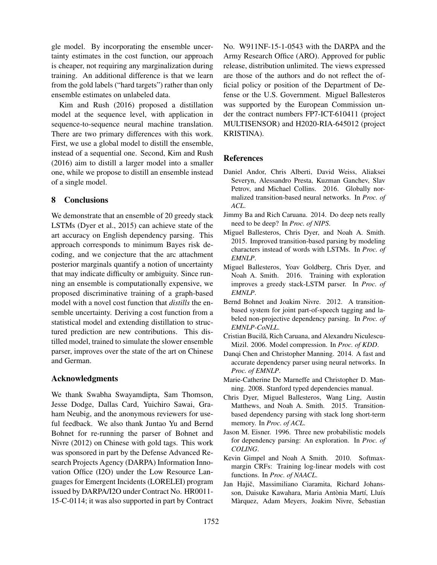gle model. By incorporating the ensemble uncertainty estimates in the cost function, our approach is cheaper, not requiring any marginalization during training. An additional difference is that we learn from the gold labels ("hard targets") rather than only ensemble estimates on unlabeled data.

Kim and Rush (2016) proposed a distillation model at the sequence level, with application in sequence-to-sequence neural machine translation. There are two primary differences with this work. First, we use a global model to distill the ensemble, instead of a sequential one. Second, Kim and Rush (2016) aim to distill a larger model into a smaller one, while we propose to distill an ensemble instead of a single model.

# 8 Conclusions

We demonstrate that an ensemble of 20 greedy stack LSTMs (Dyer et al., 2015) can achieve state of the art accuracy on English dependency parsing. This approach corresponds to minimum Bayes risk decoding, and we conjecture that the arc attachment posterior marginals quantify a notion of uncertainty that may indicate difficulty or ambiguity. Since running an ensemble is computationally expensive, we proposed discriminative training of a graph-based model with a novel cost function that *distills* the ensemble uncertainty. Deriving a cost function from a statistical model and extending distillation to structured prediction are new contributions. This distilled model, trained to simulate the slower ensemble parser, improves over the state of the art on Chinese and German.

## Acknowledgments

We thank Swabha Swayamdipta, Sam Thomson, Jesse Dodge, Dallas Card, Yuichiro Sawai, Graham Neubig, and the anonymous reviewers for useful feedback. We also thank Juntao Yu and Bernd Bohnet for re-running the parser of Bohnet and Nivre (2012) on Chinese with gold tags. This work was sponsored in part by the Defense Advanced Research Projects Agency (DARPA) Information Innovation Office (I2O) under the Low Resource Languages for Emergent Incidents (LORELEI) program issued by DARPA/I2O under Contract No. HR0011- 15-C-0114; it was also supported in part by Contract No. W911NF-15-1-0543 with the DARPA and the Army Research Office (ARO). Approved for public release, distribution unlimited. The views expressed are those of the authors and do not reflect the official policy or position of the Department of Defense or the U.S. Government. Miguel Ballesteros was supported by the European Commission under the contract numbers FP7-ICT-610411 (project MULTISENSOR) and H2020-RIA-645012 (project KRISTINA).

# References

- Daniel Andor, Chris Alberti, David Weiss, Aliaksei Severyn, Alessandro Presta, Kuzman Ganchev, Slav Petrov, and Michael Collins. 2016. Globally normalized transition-based neural networks. In *Proc. of ACL*.
- Jimmy Ba and Rich Caruana. 2014. Do deep nets really need to be deep? In *Proc. of NIPS*.
- Miguel Ballesteros, Chris Dyer, and Noah A. Smith. 2015. Improved transition-based parsing by modeling characters instead of words with LSTMs. In *Proc. of EMNLP*.
- Miguel Ballesteros, Yoav Goldberg, Chris Dyer, and Noah A. Smith. 2016. Training with exploration improves a greedy stack-LSTM parser. In *Proc. of EMNLP*.
- Bernd Bohnet and Joakim Nivre. 2012. A transitionbased system for joint part-of-speech tagging and labeled non-projective dependency parsing. In *Proc. of EMNLP-CoNLL*.
- Cristian Bucilă, Rich Caruana, and Alexandru Niculescu-Mizil. 2006. Model compression. In *Proc. of KDD*.
- Danqi Chen and Christopher Manning. 2014. A fast and accurate dependency parser using neural networks. In *Proc. of EMNLP*.
- Marie-Catherine De Marneffe and Christopher D. Manning. 2008. Stanford typed dependencies manual.
- Chris Dyer, Miguel Ballesteros, Wang Ling, Austin Matthews, and Noah A. Smith. 2015. Transitionbased dependency parsing with stack long short-term memory. In *Proc. of ACL*.
- Jason M. Eisner. 1996. Three new probabilistic models for dependency parsing: An exploration. In *Proc. of COLING*.
- Kevin Gimpel and Noah A Smith. 2010. Softmaxmargin CRFs: Training log-linear models with cost functions. In *Proc. of NAACL*.
- Jan Hajič, Massimiliano Ciaramita, Richard Johansson, Daisuke Kawahara, Maria Antònia Martí, Lluís Marquez, Adam Meyers, Joakim Nivre, Sebastian `